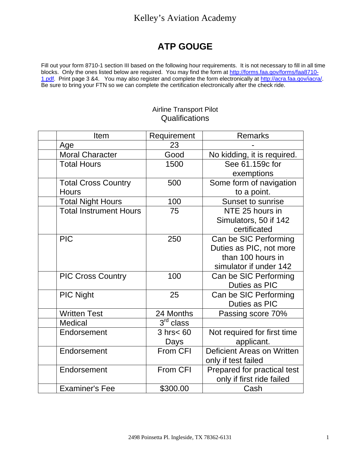# **ATP GOUGE**

Fill out your form 8710-1 section III based on the following hour requirements. It is not necessary to fill in all time blocks. Only the ones listed below are required. You may find the form at [http://forms.faa.gov/forms/faa8710-](http://forms.faa.gov/forms/faa8710-1.pdf) [1.pdf](http://forms.faa.gov/forms/faa8710-1.pdf). Print page 3 &4. You may also register and complete the form electronically at<http://acra.faa.gov/iacra/>. Be sure to bring your FTN so we can complete the certification electronically after the check ride.

### Airline Transport Pilot **Qualifications**

| Item                          | Requirement                      | <b>Remarks</b>                    |
|-------------------------------|----------------------------------|-----------------------------------|
| Age                           | 23                               |                                   |
| <b>Moral Character</b>        | Good                             | No kidding, it is required.       |
| <b>Total Hours</b>            | 1500                             | See 61.159c for                   |
|                               |                                  | exemptions                        |
| <b>Total Cross Country</b>    | 500                              | Some form of navigation           |
| <b>Hours</b>                  |                                  | to a point.                       |
| <b>Total Night Hours</b>      | 100                              | Sunset to sunrise                 |
| <b>Total Instrument Hours</b> | 75                               | NTE 25 hours in                   |
|                               |                                  | Simulators, 50 if 142             |
|                               |                                  | certificated                      |
| <b>PIC</b>                    | 250                              | Can be SIC Performing             |
|                               |                                  | Duties as PIC, not more           |
|                               |                                  | than 100 hours in                 |
|                               |                                  | simulator if under 142            |
| <b>PIC Cross Country</b>      | 100                              | Can be SIC Performing             |
|                               |                                  | Duties as PIC                     |
| <b>PIC Night</b>              | 25                               | Can be SIC Performing             |
|                               |                                  | Duties as PIC                     |
| <b>Written Test</b>           | 24 Months                        | Passing score 70%                 |
| <b>Medical</b>                | $\overline{3}^{\text{rd}}$ class |                                   |
| Endorsement                   | $3$ hrs $<$ 60                   | Not required for first time       |
|                               | Days                             | applicant.                        |
| Endorsement                   | From CFI                         | <b>Deficient Areas on Written</b> |
|                               |                                  | only if test failed               |
| Endorsement                   | From CFI                         | Prepared for practical test       |
|                               |                                  | only if first ride failed         |
| <b>Examiner's Fee</b>         | \$300.00                         | Cash                              |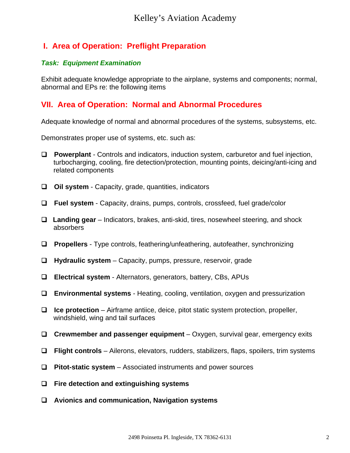# **I. Area of Operation: Preflight Preparation**

### *Task: Equipment Examination*

Exhibit adequate knowledge appropriate to the airplane, systems and components; normal, abnormal and EPs re: the following items

# **VII. Area of Operation: Normal and Abnormal Procedures**

Adequate knowledge of normal and abnormal procedures of the systems, subsystems, etc.

Demonstrates proper use of systems, etc. such as:

- **Powerplant**  Controls and indicators, induction system, carburetor and fuel injection, turbocharging, cooling, fire detection/protection, mounting points, deicing/anti-icing and related components
- **Oil system** Capacity, grade, quantities, indicators
- **Fuel system**  Capacity, drains, pumps, controls, crossfeed, fuel grade/color
- **Landing gear**  Indicators, brakes, anti-skid, tires, nosewheel steering, and shock absorbers
- **Propellers**  Type controls, feathering/unfeathering, autofeather, synchronizing
- **Hydraulic system**  Capacity, pumps, pressure, reservoir, grade
- **Electrical system** Alternators, generators, battery, CBs, APUs
- **Environmental systems**  Heating, cooling, ventilation, oxygen and pressurization
- **Ice protection**  Airframe antiice, deice, pitot static system protection, propeller, windshield, wing and tail surfaces
- **Crewmember and passenger equipment**  Oxygen, survival gear, emergency exits
- **Flight controls**  Ailerons, elevators, rudders, stabilizers, flaps, spoilers, trim systems
- **Pitot-static system**  Associated instruments and power sources
- **Fire detection and extinguishing systems**
- **Avionics and communication, Navigation systems**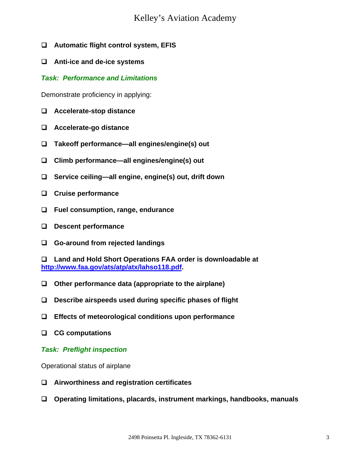- **Automatic flight control system, EFIS**
- **Anti-ice and de-ice systems**

#### *Task: Performance and Limitations*

Demonstrate proficiency in applying:

- **Accelerate-stop distance**
- **Accelerate-go distance**
- **Takeoff performance—all engines/engine(s) out**
- **Climb performance—all engines/engine(s) out**
- **Service ceiling—all engine, engine(s) out, drift down**
- **Cruise performance**
- **Fuel consumption, range, endurance**
- **Descent performance**
- **Go-around from rejected landings**

 **Land and Hold Short Operations FAA order is downloadable at <http://www.faa.gov/ats/atp/atx/lahso118.pdf>.** 

- **Other performance data (appropriate to the airplane)**
- **Describe airspeeds used during specific phases of flight**
- **Effects of meteorological conditions upon performance**
- **CG computations**
- *Task: Preflight inspection*

Operational status of airplane

- **Airworthiness and registration certificates**
- **Operating limitations, placards, instrument markings, handbooks, manuals**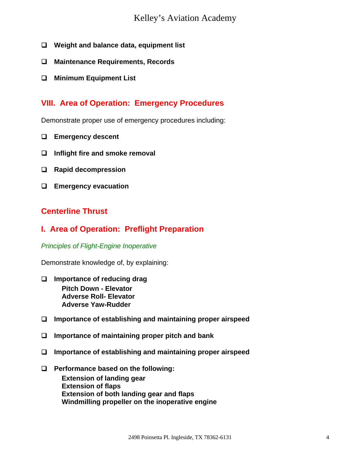- **Weight and balance data, equipment list**
- **Maintenance Requirements, Records**
- **Minimum Equipment List**

# **VIII. Area of Operation: Emergency Procedures**

Demonstrate proper use of emergency procedures including:

- **Emergency descent**
- **Inflight fire and smoke removal**
- **Rapid decompression**
- **Emergency evacuation**

# **Centerline Thrust**

# **I. Area of Operation: Preflight Preparation**

#### *Principles of Flight-Engine Inoperative*

Demonstrate knowledge of, by explaining:

- **Importance of reducing drag Pitch Down - Elevator Adverse Roll- Elevator Adverse Yaw-Rudder**
- **Importance of establishing and maintaining proper airspeed**
- **Importance of maintaining proper pitch and bank**
- **Importance of establishing and maintaining proper airspeed**
- **Performance based on the following: Extension of landing gear Extension of flaps Extension of both landing gear and flaps Windmilling propeller on the inoperative engine**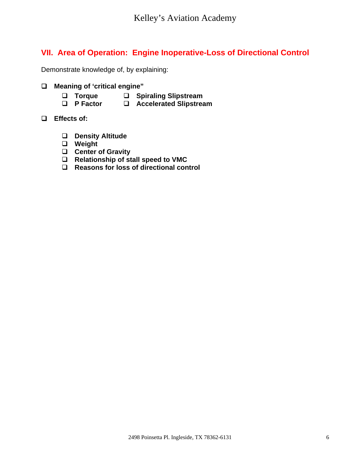# **VII. Area of Operation: Engine Inoperative-Loss of Directional Control**

Demonstrate knowledge of, by explaining:

- **Meaning of 'critical engine"** 
	- **Torque Spiraling Slipstream**
	- **P Factor Accelerated Slipstream**
- **Effects of:** 
	- **Density Altitude**
	- **Weight**
	- **Center of Gravity**
	- **Relationship of stall speed to VMC**
	- **Reasons for loss of directional control**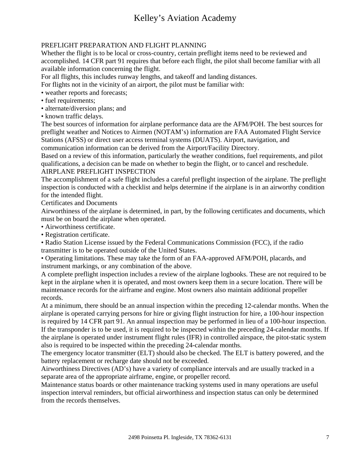#### PREFLIGHT PREPARATION AND FLIGHT PLANNING

Whether the flight is to be local or cross-country, certain preflight items need to be reviewed and accomplished. 14 CFR part 91 requires that before each flight, the pilot shall become familiar with all available information concerning the flight.

For all flights, this includes runway lengths, and takeoff and landing distances.

For flights not in the vicinity of an airport, the pilot must be familiar with:

- weather reports and forecasts;
- fuel requirements;
- alternate/diversion plans; and
- known traffic delays.

The best sources of information for airplane performance data are the AFM/POH. The best sources for preflight weather and Notices to Airmen (NOTAM's) information are FAA Automated Flight Service Stations (AFSS) or direct user access terminal systems (DUATS). Airport, navigation, and communication information can be derived from the Airport/Facility Directory.

Based on a review of this information, particularly the weather conditions, fuel requirements, and pilot qualifications, a decision can be made on whether to begin the flight, or to cancel and reschedule.

#### AIRPLANE PREFLIGHT INSPECTION

The accomplishment of a safe flight includes a careful preflight inspection of the airplane. The preflight inspection is conducted with a checklist and helps determine if the airplane is in an airworthy condition for the intended flight.

Certificates and Documents

Airworthiness of the airplane is determined, in part, by the following certificates and documents, which must be on board the airplane when operated.

- Airworthiness certificate.
- Registration certificate.

• Radio Station License issued by the Federal Communications Commission (FCC), if the radio transmitter is to be operated outside of the United States.

• Operating limitations. These may take the form of an FAA-approved AFM/POH, placards, and instrument markings, or any combination of the above.

A complete preflight inspection includes a review of the airplane logbooks. These are not required to be kept in the airplane when it is operated, and most owners keep them in a secure location. There will be maintenance records for the airframe and engine. Most owners also maintain additional propeller records.

At a minimum, there should be an annual inspection within the preceding 12-calendar months. When the airplane is operated carrying persons for hire or giving flight instruction for hire, a 100-hour inspection is required by 14 CFR part 91. An annual inspection may be performed in lieu of a 100-hour inspection. If the transponder is to be used, it is required to be inspected within the preceding 24-calendar months. If the airplane is operated under instrument flight rules (IFR) in controlled airspace, the pitot-static system also is required to be inspected within the preceding 24-calendar months.

The emergency locator transmitter (ELT) should also be checked. The ELT is battery powered, and the battery replacement or recharge date should not be exceeded.

Airworthiness Directives (AD's) have a variety of compliance intervals and are usually tracked in a separate area of the appropriate airframe, engine, or propeller record.

Maintenance status boards or other maintenance tracking systems used in many operations are useful inspection interval reminders, but official airworthiness and inspection status can only be determined from the records themselves.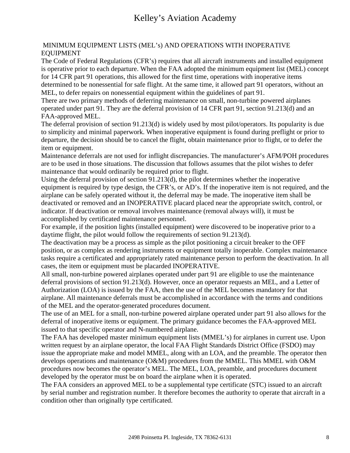#### MINIMUM EQUIPMENT LISTS (MEL's) AND OPERATIONS WITH INOPERATIVE EQUIPMENT

The Code of Federal Regulations (CFR's) requires that all aircraft instruments and installed equipment is operative prior to each departure. When the FAA adopted the minimum equipment list (MEL) concept for 14 CFR part 91 operations, this allowed for the first time, operations with inoperative items determined to be nonessential for safe flight. At the same time, it allowed part 91 operators, without an MEL, to defer repairs on nonessential equipment within the guidelines of part 91.

There are two primary methods of deferring maintenance on small, non-turbine powered airplanes operated under part 91. They are the deferral provision of 14 CFR part 91, section 91.213(d) and an FAA-approved MEL.

The deferral provision of section 91.213(d) is widely used by most pilot/operators. Its popularity is due to simplicity and minimal paperwork. When inoperative equipment is found during preflight or prior to departure, the decision should be to cancel the flight, obtain maintenance prior to flight, or to defer the item or equipment.

Maintenance deferrals are not used for inflight discrepancies. The manufacturer's AFM/POH procedures are to be used in those situations. The discussion that follows assumes that the pilot wishes to defer maintenance that would ordinarily be required prior to flight.

Using the deferral provision of section 91.213(d), the pilot determines whether the inoperative equipment is required by type design, the CFR's, or AD's. If the inoperative item is not required, and the airplane can be safely operated without it, the deferral may be made. The inoperative item shall be deactivated or removed and an INOPERATIVE placard placed near the appropriate switch, control, or indicator. If deactivation or removal involves maintenance (removal always will), it must be accomplished by certificated maintenance personnel.

For example, if the position lights (installed equipment) were discovered to be inoperative prior to a daytime flight, the pilot would follow the requirements of section 91.213(d).

The deactivation may be a process as simple as the pilot positioning a circuit breaker to the OFF position, or as complex as rendering instruments or equipment totally inoperable. Complex maintenance tasks require a certificated and appropriately rated maintenance person to perform the deactivation. In all cases, the item or equipment must be placarded INOPERATIVE.

All small, non-turbine powered airplanes operated under part 91 are eligible to use the maintenance deferral provisions of section 91.213(d). However, once an operator requests an MEL, and a Letter of Authorization (LOA) is issued by the FAA, then the use of the MEL becomes mandatory for that airplane. All maintenance deferrals must be accomplished in accordance with the terms and conditions of the MEL and the operator-generated procedures document.

The use of an MEL for a small, non-turbine powered airplane operated under part 91 also allows for the deferral of inoperative items or equipment. The primary guidance becomes the FAA-approved MEL issued to that specific operator and N-numbered airplane.

The FAA has developed master minimum equipment lists (MMEL's) for airplanes in current use. Upon written request by an airplane operator, the local FAA Flight Standards District Office (FSDO) may issue the appropriate make and model MMEL, along with an LOA, and the preamble. The operator then develops operations and maintenance (O&M) procedures from the MMEL. This MMEL with O&M procedures now becomes the operator's MEL. The MEL, LOA, preamble, and procedures document developed by the operator must be on board the airplane when it is operated.

The FAA considers an approved MEL to be a supplemental type certificate (STC) issued to an aircraft by serial number and registration number. It therefore becomes the authority to operate that aircraft in a condition other than originally type certificated.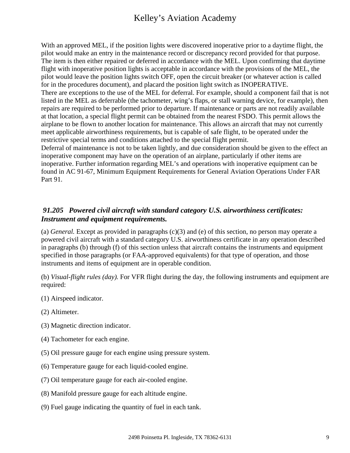With an approved MEL, if the position lights were discovered inoperative prior to a daytime flight, the pilot would make an entry in the maintenance record or discrepancy record provided for that purpose. The item is then either repaired or deferred in accordance with the MEL. Upon confirming that daytime flight with inoperative position lights is acceptable in accordance with the provisions of the MEL, the pilot would leave the position lights switch OFF, open the circuit breaker (or whatever action is called for in the procedures document), and placard the position light switch as INOPERATIVE. There are exceptions to the use of the MEL for deferral. For example, should a component fail that is not listed in the MEL as deferrable (the tachometer, wing's flaps, or stall warning device, for example), then repairs are required to be performed prior to departure. If maintenance or parts are not readily available at that location, a special flight permit can be obtained from the nearest FSDO. This permit allows the airplane to be flown to another location for maintenance. This allows an aircraft that may not currently meet applicable airworthiness requirements, but is capable of safe flight, to be operated under the restrictive special terms and conditions attached to the special flight permit.

Deferral of maintenance is not to be taken lightly, and due consideration should be given to the effect an inoperative component may have on the operation of an airplane, particularly if other items are inoperative. Further information regarding MEL's and operations with inoperative equipment can be found in AC 91-67, Minimum Equipment Requirements for General Aviation Operations Under FAR Part 91.

#### *91.205 Powered civil aircraft with standard category U.S. airworthiness certificates: Instrument and equipment requirements.*

(a) *General.* Except as provided in paragraphs (c)(3) and (e) of this section, no person may operate a powered civil aircraft with a standard category U.S. airworthiness certificate in any operation described in paragraphs (b) through (f) of this section unless that aircraft contains the instruments and equipment specified in those paragraphs (or FAA-approved equivalents) for that type of operation, and those instruments and items of equipment are in operable condition.

(b) *Visual-flight rules (day).* For VFR flight during the day, the following instruments and equipment are required:

- (1) Airspeed indicator.
- (2) Altimeter.
- (3) Magnetic direction indicator.
- (4) Tachometer for each engine.
- (5) Oil pressure gauge for each engine using pressure system.
- (6) Temperature gauge for each liquid-cooled engine.
- (7) Oil temperature gauge for each air-cooled engine.
- (8) Manifold pressure gauge for each altitude engine.
- (9) Fuel gauge indicating the quantity of fuel in each tank.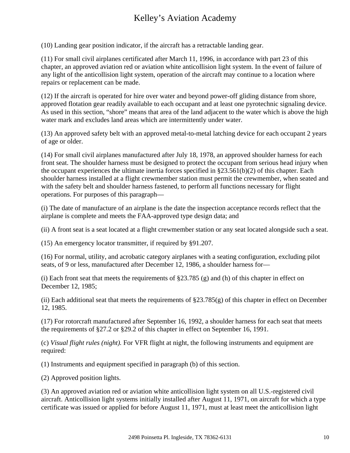(10) Landing gear position indicator, if the aircraft has a retractable landing gear.

(11) For small civil airplanes certificated after March 11, 1996, in accordance with part 23 of this chapter, an approved aviation red or aviation white anticollision light system. In the event of failure of any light of the anticollision light system, operation of the aircraft may continue to a location where repairs or replacement can be made.

(12) If the aircraft is operated for hire over water and beyond power-off gliding distance from shore, approved flotation gear readily available to each occupant and at least one pyrotechnic signaling device. As used in this section, "shore" means that area of the land adjacent to the water which is above the high water mark and excludes land areas which are intermittently under water.

(13) An approved safety belt with an approved metal-to-metal latching device for each occupant 2 years of age or older.

(14) For small civil airplanes manufactured after July 18, 1978, an approved shoulder harness for each front seat. The shoulder harness must be designed to protect the occupant from serious head injury when the occupant experiences the ultimate inertia forces specified in §23.561(b)(2) of this chapter. Each shoulder harness installed at a flight crewmember station must permit the crewmember, when seated and with the safety belt and shoulder harness fastened, to perform all functions necessary for flight operations. For purposes of this paragraph—

(i) The date of manufacture of an airplane is the date the inspection acceptance records reflect that the airplane is complete and meets the FAA-approved type design data; and

(ii) A front seat is a seat located at a flight crewmember station or any seat located alongside such a seat.

(15) An emergency locator transmitter, if required by §91.207.

(16) For normal, utility, and acrobatic category airplanes with a seating configuration, excluding pilot seats, of 9 or less, manufactured after December 12, 1986, a shoulder harness for—

(i) Each front seat that meets the requirements of §23.785 (g) and (h) of this chapter in effect on December 12, 1985;

(ii) Each additional seat that meets the requirements of  $\S 23.785(g)$  of this chapter in effect on December 12, 1985.

(17) For rotorcraft manufactured after September 16, 1992, a shoulder harness for each seat that meets the requirements of §27.2 or §29.2 of this chapter in effect on September 16, 1991.

(c) *Visual flight rules (night).* For VFR flight at night, the following instruments and equipment are required:

(1) Instruments and equipment specified in paragraph (b) of this section.

(2) Approved position lights.

(3) An approved aviation red or aviation white anticollision light system on all U.S.-registered civil aircraft. Anticollision light systems initially installed after August 11, 1971, on aircraft for which a type certificate was issued or applied for before August 11, 1971, must at least meet the anticollision light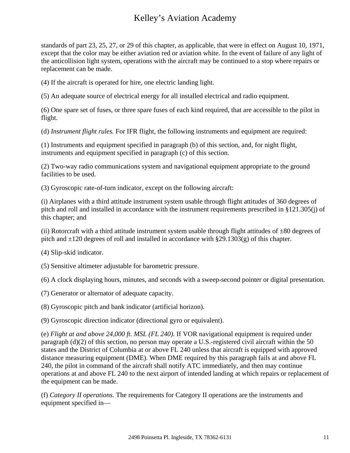standards of part 23, 25, 27, or 29 of this chapter, as applicable, that were in effect on August 10, 1971, except that the color may be either aviation red or aviation white. In the event of failure of any light of the anticollision light system, operations with the aircraft may be continued to a stop where repairs or replacement can be made.

(4) If the aircraft is operated for hire, one electric landing light.

(5) An adequate source of electrical energy for all installed electrical and radio equipment.

(6) One spare set of fuses, or three spare fuses of each kind required, that are accessible to the pilot in flight.

(d) *Instrument flight rules.* For IFR flight, the following instruments and equipment are required:

(1) Instruments and equipment specified in paragraph (b) of this section, and, for night flight, instruments and equipment specified in paragraph (c) of this section.

(2) Two-way radio communications system and navigational equipment appropriate to the ground facilities to be used.

(3) Gyroscopic rate-of-turn indicator, except on the following aircraft:

(i) Airplanes with a third attitude instrument system usable through flight attitudes of 360 degrees of pitch and roll and installed in accordance with the instrument requirements prescribed in §121.305(j) of this chapter; and

(ii) Rotorcraft with a third attitude instrument system usable through flight attitudes of  $\pm 80$  degrees of pitch and  $\pm 120$  degrees of roll and installed in accordance with §29.1303(g) of this chapter.

(4) Slip-skid indicator.

(5) Sensitive altimeter adjustable for barometric pressure.

(6) A clock displaying hours, minutes, and seconds with a sweep-second pointer or digital presentation.

(7) Generator or alternator of adequate capacity.

(8) Gyroscopic pitch and bank indicator (artificial horizon).

(9) Gyroscopic direction indicator (directional gyro or equivalent).

(e) *Flight at and above 24,000 ft. MSL (FL 240).* If VOR navigational equipment is required under paragraph (d)(2) of this section, no person may operate a U.S.-registered civil aircraft within the 50 states and the District of Columbia at or above FL 240 unless that aircraft is equipped with approved distance measuring equipment (DME). When DME required by this paragraph fails at and above FL 240, the pilot in command of the aircraft shall notify ATC immediately, and then may continue operations at and above FL 240 to the next airport of intended landing at which repairs or replacement of the equipment can be made.

(f) *Category II operations.* The requirements for Category II operations are the instruments and equipment specified in—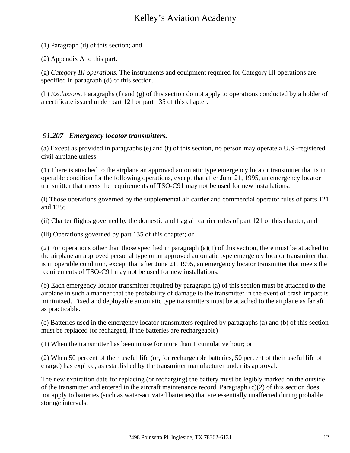(1) Paragraph (d) of this section; and

(2) Appendix A to this part.

(g) *Category III operations.* The instruments and equipment required for Category III operations are specified in paragraph (d) of this section.

(h) *Exclusions.* Paragraphs (f) and (g) of this section do not apply to operations conducted by a holder of a certificate issued under part 121 or part 135 of this chapter.

#### *91.207 Emergency locator transmitters.*

(a) Except as provided in paragraphs (e) and (f) of this section, no person may operate a U.S.-registered civil airplane unless—

(1) There is attached to the airplane an approved automatic type emergency locator transmitter that is in operable condition for the following operations, except that after June 21, 1995, an emergency locator transmitter that meets the requirements of TSO-C91 may not be used for new installations:

(i) Those operations governed by the supplemental air carrier and commercial operator rules of parts 121 and 125;

(ii) Charter flights governed by the domestic and flag air carrier rules of part 121 of this chapter; and

(iii) Operations governed by part 135 of this chapter; or

(2) For operations other than those specified in paragraph  $(a)(1)$  of this section, there must be attached to the airplane an approved personal type or an approved automatic type emergency locator transmitter that is in operable condition, except that after June 21, 1995, an emergency locator transmitter that meets the requirements of TSO-C91 may not be used for new installations.

(b) Each emergency locator transmitter required by paragraph (a) of this section must be attached to the airplane in such a manner that the probability of damage to the transmitter in the event of crash impact is minimized. Fixed and deployable automatic type transmitters must be attached to the airplane as far aft as practicable.

(c) Batteries used in the emergency locator transmitters required by paragraphs (a) and (b) of this section must be replaced (or recharged, if the batteries are rechargeable)—

(1) When the transmitter has been in use for more than 1 cumulative hour; or

(2) When 50 percent of their useful life (or, for rechargeable batteries, 50 percent of their useful life of charge) has expired, as established by the transmitter manufacturer under its approval.

The new expiration date for replacing (or recharging) the battery must be legibly marked on the outside of the transmitter and entered in the aircraft maintenance record. Paragraph (c)(2) of this section does not apply to batteries (such as water-activated batteries) that are essentially unaffected during probable storage intervals.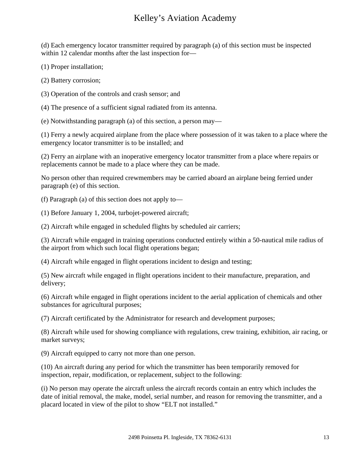(d) Each emergency locator transmitter required by paragraph (a) of this section must be inspected within 12 calendar months after the last inspection for—

(1) Proper installation;

(2) Battery corrosion;

(3) Operation of the controls and crash sensor; and

(4) The presence of a sufficient signal radiated from its antenna.

(e) Notwithstanding paragraph (a) of this section, a person may—

(1) Ferry a newly acquired airplane from the place where possession of it was taken to a place where the emergency locator transmitter is to be installed; and

(2) Ferry an airplane with an inoperative emergency locator transmitter from a place where repairs or replacements cannot be made to a place where they can be made.

No person other than required crewmembers may be carried aboard an airplane being ferried under paragraph (e) of this section.

(f) Paragraph (a) of this section does not apply to—

(1) Before January 1, 2004, turbojet-powered aircraft;

(2) Aircraft while engaged in scheduled flights by scheduled air carriers;

(3) Aircraft while engaged in training operations conducted entirely within a 50-nautical mile radius of the airport from which such local flight operations began;

(4) Aircraft while engaged in flight operations incident to design and testing;

(5) New aircraft while engaged in flight operations incident to their manufacture, preparation, and delivery;

(6) Aircraft while engaged in flight operations incident to the aerial application of chemicals and other substances for agricultural purposes;

(7) Aircraft certificated by the Administrator for research and development purposes;

(8) Aircraft while used for showing compliance with regulations, crew training, exhibition, air racing, or market surveys;

(9) Aircraft equipped to carry not more than one person.

(10) An aircraft during any period for which the transmitter has been temporarily removed for inspection, repair, modification, or replacement, subject to the following:

(i) No person may operate the aircraft unless the aircraft records contain an entry which includes the date of initial removal, the make, model, serial number, and reason for removing the transmitter, and a placard located in view of the pilot to show "ELT not installed."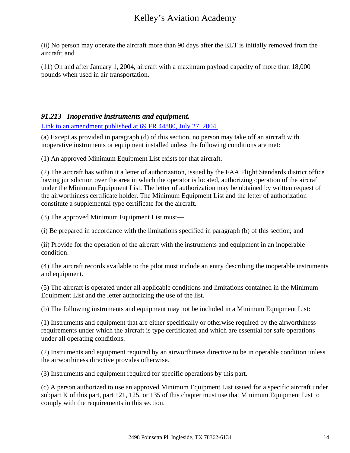(ii) No person may operate the aircraft more than 90 days after the ELT is initially removed from the aircraft; and

(11) On and after January 1, 2004, aircraft with a maximum payload capacity of more than 18,000 pounds when used in air transportation.

### *91.213 Inoperative instruments and equipment.*

[Link to an amendment published at 69 FR 44880, July 27, 2004.](http://ecfr.gpoaccess.gov/cgi/t/text/text-idx?c=ecfr;sid=be8275670f23f1597ff464e4b47ef97f;rgn=div2;view=text;node=20040727%3A1.89;idno=14;cc=ecfr;start=1;size=25)

(a) Except as provided in paragraph (d) of this section, no person may take off an aircraft with inoperative instruments or equipment installed unless the following conditions are met:

(1) An approved Minimum Equipment List exists for that aircraft.

(2) The aircraft has within it a letter of authorization, issued by the FAA Flight Standards district office having jurisdiction over the area in which the operator is located, authorizing operation of the aircraft under the Minimum Equipment List. The letter of authorization may be obtained by written request of the airworthiness certificate holder. The Minimum Equipment List and the letter of authorization constitute a supplemental type certificate for the aircraft.

(3) The approved Minimum Equipment List must—

(i) Be prepared in accordance with the limitations specified in paragraph (b) of this section; and

(ii) Provide for the operation of the aircraft with the instruments and equipment in an inoperable condition.

(4) The aircraft records available to the pilot must include an entry describing the inoperable instruments and equipment.

(5) The aircraft is operated under all applicable conditions and limitations contained in the Minimum Equipment List and the letter authorizing the use of the list.

(b) The following instruments and equipment may not be included in a Minimum Equipment List:

(1) Instruments and equipment that are either specifically or otherwise required by the airworthiness requirements under which the aircraft is type certificated and which are essential for safe operations under all operating conditions.

(2) Instruments and equipment required by an airworthiness directive to be in operable condition unless the airworthiness directive provides otherwise.

(3) Instruments and equipment required for specific operations by this part.

(c) A person authorized to use an approved Minimum Equipment List issued for a specific aircraft under subpart K of this part, part 121, 125, or 135 of this chapter must use that Minimum Equipment List to comply with the requirements in this section.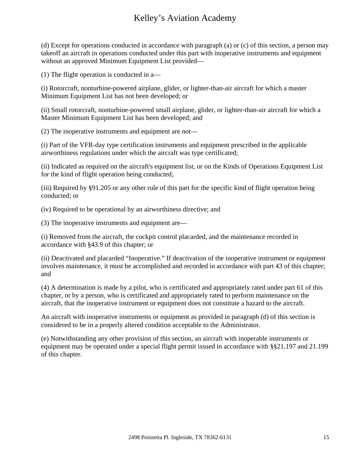(d) Except for operations conducted in accordance with paragraph (a) or (c) of this section, a person may takeoff an aircraft in operations conducted under this part with inoperative instruments and equipment without an approved Minimum Equipment List provided—

(1) The flight operation is conducted in a—

(i) Rotorcraft, nonturbine-powered airplane, glider, or lighter-than-air aircraft for which a master Minimum Equipment List has not been developed; or

(ii) Small rotorcraft, nonturbine-powered small airplane, glider, or lighter-than-air aircraft for which a Master Minimum Equipment List has been developed; and

(2) The inoperative instruments and equipment are not—

(i) Part of the VFR-day type certification instruments and equipment prescribed in the applicable airworthiness regulations under which the aircraft was type certificated;

(ii) Indicated as required on the aircraft's equipment list, or on the Kinds of Operations Equipment List for the kind of flight operation being conducted;

(iii) Required by §91.205 or any other rule of this part for the specific kind of flight operation being conducted; or

(iv) Required to be operational by an airworthiness directive; and

(3) The inoperative instruments and equipment are—

(i) Removed from the aircraft, the cockpit control placarded, and the maintenance recorded in accordance with §43.9 of this chapter; or

(ii) Deactivated and placarded "Inoperative." If deactivation of the inoperative instrument or equipment involves maintenance, it must be accomplished and recorded in accordance with part 43 of this chapter; and

(4) A determination is made by a pilot, who is certificated and appropriately rated under part 61 of this chapter, or by a person, who is certificated and appropriately rated to perform maintenance on the aircraft, that the inoperative instrument or equipment does not constitute a hazard to the aircraft.

An aircraft with inoperative instruments or equipment as provided in paragraph (d) of this section is considered to be in a properly altered condition acceptable to the Administrator.

(e) Notwithstanding any other provision of this section, an aircraft with inoperable instruments or equipment may be operated under a special flight permit issued in accordance with §§21.197 and 21.199 of this chapter.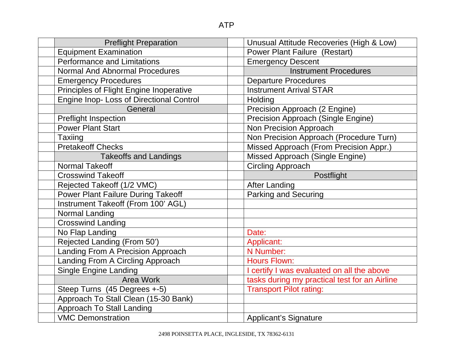| <b>Preflight Preparation</b>              | Unusual Attitude Recoveries (High & Low)      |
|-------------------------------------------|-----------------------------------------------|
| <b>Equipment Examination</b>              | <b>Power Plant Failure (Restart)</b>          |
| <b>Performance and Limitations</b>        | <b>Emergency Descent</b>                      |
| <b>Normal And Abnormal Procedures</b>     | <b>Instrument Procedures</b>                  |
| <b>Emergency Procedures</b>               | <b>Departure Procedures</b>                   |
| Principles of Flight Engine Inoperative   | <b>Instrument Arrival STAR</b>                |
| Engine Inop- Loss of Directional Control  | Holding                                       |
| General                                   | Precision Approach (2 Engine)                 |
| <b>Preflight Inspection</b>               | Precision Approach (Single Engine)            |
| <b>Power Plant Start</b>                  | Non Precision Approach                        |
| Taxiing                                   | Non Precision Approach (Procedure Turn)       |
| <b>Pretakeoff Checks</b>                  | Missed Approach (From Precision Appr.)        |
| <b>Takeoffs and Landings</b>              | Missed Approach (Single Engine)               |
| <b>Normal Takeoff</b>                     | <b>Circling Approach</b>                      |
| <b>Crosswind Takeoff</b>                  | Postflight                                    |
| Rejected Takeoff (1/2 VMC)                | <b>After Landing</b>                          |
| <b>Power Plant Failure During Takeoff</b> | <b>Parking and Securing</b>                   |
| Instrument Takeoff (From 100' AGL)        |                                               |
| Normal Landing                            |                                               |
| <b>Crosswind Landing</b>                  |                                               |
| No Flap Landing                           | Date:                                         |
| Rejected Landing (From 50')               | Applicant:                                    |
| Landing From A Precision Approach         | N Number:                                     |
| Landing From A Circling Approach          | <b>Hours Flown:</b>                           |
| <b>Single Engine Landing</b>              | I certify I was evaluated on all the above    |
| Area Work                                 | tasks during my practical test for an Airline |
| Steep Turns (45 Degrees +-5)              | <b>Transport Pilot rating:</b>                |
| Approach To Stall Clean (15-30 Bank)      |                                               |
| Approach To Stall Landing                 |                                               |
| <b>VMC Demonstration</b>                  | <b>Applicant's Signature</b>                  |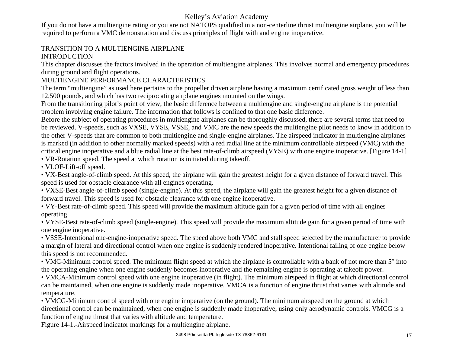If you do not have a multiengine rating or you are not NATOPS qualified in a non-centerline thrust multiengine airplane, you will be required to perform a VMC demonstration and discuss principles of flight with and engine inoperative.

#### TRANSITION TO A MULTIENGINE AIRPLANE INTRODUCTION

This chapter discusses the factors involved in the operation of multiengine airplanes. This involves normal and emergency procedures during ground and flight operations.

# MULTIENGINE PERFORMANCE CHARACTERISTICS

The term "multiengine" as used here pertains to the propeller driven airplane having a maximum certificated gross weight of less than 12,500 pounds, and which has two reciprocating airplane engines mounted on the wings.

From the transitioning pilot's point of view, the basic difference between a multiengine and single-engine airplane is the potential problem involving engine failure. The information that follows is confined to that one basic difference.

Before the subject of operating procedures in multiengine airplanes can be thoroughly discussed, there are several terms that need to be reviewed. V-speeds, such as VXSE, VYSE, VSSE, and VMC are the new speeds the multiengine pilot needs to know in addition to the other V-speeds that are common to both multiengine and single-engine airplanes. The airspeed indicator in multiengine airplanes is marked (in addition to other normally marked speeds) with a red radial line at the minimum controllable airspeed (VMC) with the critical engine inoperative and a blue radial line at the best rate-of-climb airspeed (VYSE) with one engine inoperative. [Figure 14-1]

• VR-Rotation speed. The speed at which rotation is initiated during takeoff.

• VLOF-Lift-off speed.

• VX-Best angle-of-climb speed. At this speed, the airplane will gain the greatest height for a given distance of forward travel. This speed is used for obstacle clearance with all engines operating.

• VXSE-Best angle-of-climb speed (single-engine). At this speed, the airplane will gain the greatest height for a given distance of forward travel. This speed is used for obstacle clearance with one engine inoperative.

• VY-Best rate-of-climb speed. This speed will provide the maximum altitude gain for a given period of time with all engines operating.

• VYSE-Best rate-of-climb speed (single-engine). This speed will provide the maximum altitude gain for a given period of time with one engine inoperative.

• VSSE-Intentional one-engine-inoperative speed. The speed above both VMC and stall speed selected by the manufacturer to provide a margin of lateral and directional control when one engine is suddenly rendered inoperative. Intentional failing of one engine below this speed is not recommended.

• VMC-Minimum control speed. The minimum flight speed at which the airplane is controllable with a bank of not more than 5° into the operating engine when one engine suddenly becomes inoperative and the remaining engine is operating at takeoff power.

• VMCA-Minimum control speed with one engine inoperative (in flight). The minimum airspeed in flight at which directional control can be maintained, when one engine is suddenly made inoperative. VMCA is a function of engine thrust that varies with altitude and temperature.

• VMCG-Minimum control speed with one engine inoperative (on the ground). The minimum airspeed on the ground at which directional control can be maintained, when one engine is suddenly made inoperative, using only aerodynamic controls. VMCG is a function of engine thrust that varies with altitude and temperature.

Figure 14-1.-Airspeed indicator markings for a multiengine airplane.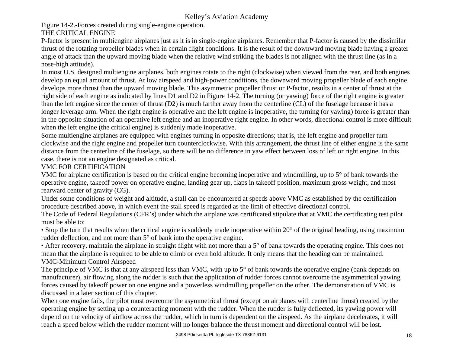Figure 14-2.-Forces created during single-engine operation.

## THE CRITICAL ENGINE

P-factor is present in multiengine airplanes just as it is in single-engine airplanes. Remember that P-factor is caused by the dissimilar thrust of the rotating propeller blades when in certain flight conditions. It is the result of the downward moving blade having a greater angle of attack than the upward moving blade when the relative wind striking the blades is not aligned with the thrust line (as in a nose-high attitude).

In most U.S. designed multiengine airplanes, both engines rotate to the right (clockwise) when viewed from the rear, and both engines develop an equal amount of thrust. At low airspeed and high-power conditions, the downward moving propeller blade of each engine develops more thrust than the upward moving blade. This asymmetric propeller thrust or P-factor, results in a center of thrust at the right side of each engine as indicated by lines D1 and D2 in Figure 14-2. The turning (or yawing) force of the right engine is greater than the left engine since the center of thrust (D2) is much farther away from the centerline (CL) of the fuselage because it has a longer leverage arm. When the right engine is operative and the left engine is inoperative, the turning (or yawing) force is greater than in the opposite situation of an operative left engine and an inoperative right engine. In other words, directional control is more difficult when the left engine (the critical engine) is suddenly made inoperative.

Some multiengine airplanes are equipped with engines turning in opposite directions; that is, the left engine and propeller turn clockwise and the right engine and propeller turn counterclockwise. With this arrangement, the thrust line of either engine is the same distance from the centerline of the fuselage, so there will be no difference in yaw effect between loss of left or right engine. In this case, there is not an engine designated as critical.

## VMC FOR CERTIFICATION

VMC for airplane certification is based on the critical engine becoming inoperative and windmilling, up to 5° of bank towards the operative engine, takeoff power on operative engine, landing gear up, flaps in takeoff position, maximum gross weight, and most rearward center of gravity (CG).

Under some conditions of weight and altitude, a stall can be encountered at speeds above VMC as established by the certification procedure described above, in which event the stall speed is regarded as the limit of effective directional control.

The Code of Federal Regulations (CFR's) under which the airplane was certificated stipulate that at VMC the certificating test pilot must be able to:

• Stop the turn that results when the critical engine is suddenly made inoperative within 20° of the original heading, using maximum rudder deflection, and not more than 5° of bank into the operative engine.

• After recovery, maintain the airplane in straight flight with not more than a 5° of bank towards the operating engine. This does not mean that the airplane is required to be able to climb or even hold altitude. It only means that the heading can be maintained. VMC-Minimum Control Airspeed

The principle of VMC is that at any airspeed less than VMC, with up to 5° of bank towards the operative engine (bank depends on manufacturer), air flowing along the rudder is such that the application of rudder forces cannot overcome the asymmetrical yawing forces caused by takeoff power on one engine and a powerless windmilling propeller on the other. The demonstration of VMC is discussed in a later section of this chapter.

When one engine fails, the pilot must overcome the asymmetrical thrust (except on airplanes with centerline thrust) created by the operating engine by setting up a counteracting moment with the rudder. When the rudder is fully deflected, its yawing power will depend on the velocity of airflow across the rudder, which in turn is dependent on the airspeed. As the airplane decelerates, it will reach a speed below which the rudder moment will no longer balance the thrust moment and directional control will be lost.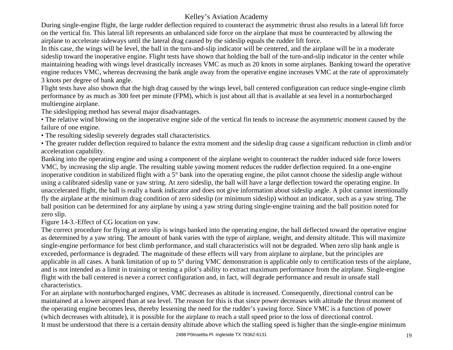During single-engine flight, the large rudder deflection required to counteract the asymmetric thrust also results in a lateral lift force on the vertical fin. This lateral lift represents an unbalanced side force on the airplane that must be counteracted by allowing the airplane to accelerate sideways until the lateral drag caused by the sideslip equals the rudder lift force.

In this case, the wings will be level, the ball in the turn-and-slip indicator will be centered, and the airplane will be in a moderate sideslip toward the inoperative engine. Flight tests have shown that holding the ball of the turn-and-slip indicator in the center while maintaining heading with wings level drastically increases VMC as much as 20 knots in some airplanes. Banking toward the operative engine reduces VMC, whereas decreasing the bank angle away from the operative engine increases VMC at the rate of approximately 3 knots per degree of bank angle.

Flight tests have also shown that the high drag caused by the wings level, ball centered configuration can reduce single-engine climb performance by as much as 300 feet per minute (FPM), which is just about all that is available at sea level in a nonturbocharged multiengine airplane.

The sideslipping method has several major disadvantages.

• The relative wind blowing on the inoperative engine side of the vertical fin tends to increase the asymmetric moment caused by the failure of one engine.

• The resulting sideslip severely degrades stall characteristics.

• The greater rudder deflection required to balance the extra moment and the sideslip drag cause a significant reduction in climb and/or acceleration capability.

Banking into the operating engine and using a component of the airplane weight to counteract the rudder induced side force lowers VMC, by increasing the slip angle. The resulting stable yawing moment reduces the rudder deflection required. In a one-engine inoperative condition in stabilized flight with a 5° bank into the operating engine, the pilot cannot choose the sideslip angle without using a calibrated sideslip vane or yaw string. At zero sideslip, the ball will have a large deflection toward the operating engine. In unaccelerated flight, the ball is really a bank indicator and does not give information about sideslip angle. A pilot cannot intentionally fly the airplane at the minimum drag condition of zero sideslip (or minimum sideslip) without an indicator, such as a yaw string. The ball position can be determined for any airplane by using a yaw string during single-engine training and the ball position noted for zero slip.

Figure 14-3.-Effect of CG location on yaw.

The correct procedure for flying at zero slip is wings banked into the operating engine, the ball deflected toward the operative engine as determined by a yaw string. The amount of bank varies with the type of airplane, weight, and density altitude. This will maximize single-engine performance for best climb performance, and stall characteristics will not be degraded. When zero slip bank angle is exceeded, performance is degraded. The magnitude of these effects will vary from airplane to airplane, but the principles are applicable in all cases. A bank limitation of up to 5° during VMC demonstration is applicable only to certification tests of the airplane, and is not intended as a limit in training or testing a pilot's ability to extract maximum performance from the airplane. Single-engine flight with the ball centered is never a correct configuration and, in fact, will degrade performance and result in unsafe stall characteristics.

For an airplane with nonturbocharged engines, VMC decreases as altitude is increased. Consequently, directional control can be maintained at a lower airspeed than at sea level. The reason for this is that since power decreases with altitude the thrust moment of the operating engine becomes less, thereby lessening the need for the rudder's yawing force. Since VMC is a function of power (which decreases with altitude), it is possible for the airplane to reach a stall speed prior to the loss of directional control. It must be understood that there is a certain density altitude above which the stalling speed is higher than the single-engine minimum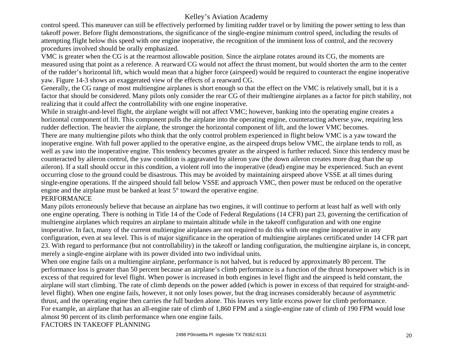control speed. This maneuver can still be effectively performed by limiting rudder travel or by limiting the power setting to less than takeoff power. Before flight demonstrations, the significance of the single-engine minimum control speed, including the results of attempting flight below this speed with one engine inoperative, the recognition of the imminent loss of control, and the recovery procedures involved should be orally emphasized.

VMC is greater when the CG is at the rearmost allowable position. Since the airplane rotates around its CG, the moments are measured using that point as a reference. A rearward CG would not affect the thrust moment, but would shorten the arm to the center of the rudder's horizontal lift, which would mean that a higher force (airspeed) would be required to counteract the engine inoperative yaw. Figure 14-3 shows an exaggerated view of the effects of a rearward CG.

Generally, the CG range of most multiengine airplanes is short enough so that the effect on the VMC is relatively small, but it is a factor that should be considered. Many pilots only consider the rear CG of their multiengine airplanes as a factor for pitch stability, not realizing that it could affect the controllability with one engine inoperative.

While in straight-and-level flight, the airplane weight will not affect VMC; however, banking into the operating engine creates a horizontal component of lift. This component pulls the airplane into the operating engine, counteracting adverse yaw, requiring less rudder deflection. The heavier the airplane, the stronger the horizontal component of lift, and the lower VMC becomes. There are many multiengine pilots who think that the only control problem experienced in flight below VMC is a yaw toward the inoperative engine. With full power applied to the operative engine, as the airspeed drops below VMC, the airplane tends to roll, as well as yaw into the inoperative engine. This tendency becomes greater as the airspeed is further reduced. Since this tendency must be counteracted by aileron control, the yaw condition is aggravated by aileron yaw (the down aileron creates more drag than the up aileron). If a stall should occur in this condition, a violent roll into the inoperative (dead) engine may be experienced. Such an event occurring close to the ground could be disastrous. This may be avoided by maintaining airspeed above VSSE at all times during single-engine operations. If the airspeed should fall below VSSE and approach VMC, then power must be reduced on the operative engine and the airplane must be banked at least 5° toward the operative engine.

#### PERFORMANCE

Many pilots erroneously believe that because an airplane has two engines, it will continue to perform at least half as well with only one engine operating. There is nothing in Title 14 of the Code of Federal Regulations (14 CFR) part 23, governing the certification of multiengine airplanes which requires an airplane to maintain altitude while in the takeoff configuration and with one engine inoperative. In fact, many of the current multiengine airplanes are not required to do this with one engine inoperative in any configuration, even at sea level. This is of major significance in the operation of multiengine airplanes certificated under 14 CFR part 23. With regard to performance (but not controllability) in the takeoff or landing configuration, the multiengine airplane is, in concept, merely a single-engine airplane with its power divided into two individual units.

When one engine fails on a multiengine airplane, performance is not halved, but is reduced by approximately 80 percent. The performance loss is greater than 50 percent because an airplane's climb performance is a function of the thrust horsepower which is in excess of that required for level flight. When power is increased in both engines in level flight and the airspeed is held constant, the airplane will start climbing. The rate of climb depends on the power added (which is power in excess of that required for straight-andlevel flight). When one engine fails, however, it not only loses power, but the drag increases considerably because of asymmetric thrust, and the operating engine then carries the full burden alone. This leaves very little excess power for climb performance. For example, an airplane that has an all-engine rate of climb of 1,860 FPM and a single-engine rate of climb of 190 FPM would lose almost 90 percent of its climb performance when one engine fails.

#### FACTORS IN TAKEOFF PLANNING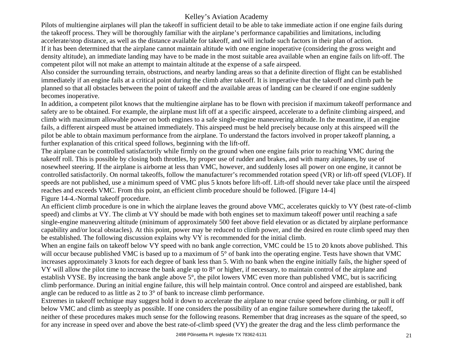Pilots of multiengine airplanes will plan the takeoff in sufficient detail to be able to take immediate action if one engine fails during the takeoff process. They will be thoroughly familiar with the airplane's performance capabilities and limitations, including accelerate/stop distance, as well as the distance available for takeoff, and will include such factors in their plan of action. If it has been determined that the airplane cannot maintain altitude with one engine inoperative (considering the gross weight and density altitude), an immediate landing may have to be made in the most suitable area available when an engine fails on lift-off. The

competent pilot will not make an attempt to maintain altitude at the expense of a safe airspeed.

Also consider the surrounding terrain, obstructions, and nearby landing areas so that a definite direction of flight can be established immediately if an engine fails at a critical point during the climb after takeoff. It is imperative that the takeoff and climb path be planned so that all obstacles between the point of takeoff and the available areas of landing can be cleared if one engine suddenly becomes inoperative.

In addition, a competent pilot knows that the multiengine airplane has to be flown with precision if maximum takeoff performance and safety are to be obtained. For example, the airplane must lift off at a specific airspeed, accelerate to a definite climbing airspeed, and climb with maximum allowable power on both engines to a safe single-engine maneuvering altitude. In the meantime, if an engine fails, a different airspeed must be attained immediately. This airspeed must be held precisely because only at this airspeed will the pilot be able to obtain maximum performance from the airplane. To understand the factors involved in proper takeoff planning, a further explanation of this critical speed follows, beginning with the lift-off.

The airplane can be controlled satisfactorily while firmly on the ground when one engine fails prior to reaching VMC during the takeoff roll. This is possible by closing both throttles, by proper use of rudder and brakes, and with many airplanes, by use of nosewheel steering. If the airplane is airborne at less than VMC, however, and suddenly loses all power on one engine, it cannot be controlled satisfactorily. On normal takeoffs, follow the manufacturer's recommended rotation speed (VR) or lift-off speed (VLOF). If speeds are not published, use a minimum speed of VMC plus 5 knots before lift-off. Lift-off should never take place until the airspeed reaches and exceeds VMC. From this point, an efficient climb procedure should be followed. [Figure 14-4] Figure 14-4.-Normal takeoff procedure.

An efficient climb procedure is one in which the airplane leaves the ground above VMC, accelerates quickly to VY (best rate-of-climb speed) and climbs at VY. The climb at VY should be made with both engines set to maximum takeoff power until reaching a safe single-engine maneuvering altitude (minimum of approximately 500 feet above field elevation or as dictated by airplane performance capability and/or local obstacles). At this point, power may be reduced to climb power, and the desired en route climb speed may then be established. The following discussion explains why VY is recommended for the initial climb.

When an engine fails on takeoff below VY speed with no bank angle correction, VMC could be 15 to 20 knots above published. This will occur because published VMC is based up to a maximum of 5° of bank into the operating engine. Tests have shown that VMC increases approximately 3 knots for each degree of bank less than 5. With no bank when the engine initially fails, the higher speed of VY will allow the pilot time to increase the bank angle up to 8° or higher, if necessary, to maintain control of the airplane and establish VYSE. By increasing the bank angle above 5°, the pilot lowers VMC even more than published VMC, but is sacrificing climb performance. During an initial engine failure, this will help maintain control. Once control and airspeed are established, bank angle can be reduced to as little as 2 to 3° of bank to increase climb performance.

Extremes in takeoff technique may suggest hold it down to accelerate the airplane to near cruise speed before climbing, or pull it off below VMC and climb as steeply as possible. If one considers the possibility of an engine failure somewhere during the takeoff, neither of these procedures makes much sense for the following reasons. Remember that drag increases as the square of the speed, so for any increase in speed over and above the best rate-of-climb speed (VY) the greater the drag and the less climb performance the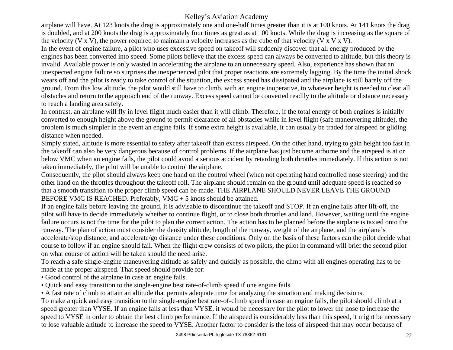airplane will have. At 123 knots the drag is approximately one and one-half times greater than it is at 100 knots. At 141 knots the drag is doubled, and at 200 knots the drag is approximately four times as great as at 100 knots. While the drag is increasing as the square of the velocity (V x V), the power required to maintain a velocity increases as the cube of that velocity (V x V x V).

In the event of engine failure, a pilot who uses excessive speed on takeoff will suddenly discover that all energy produced by the engines has been converted into speed. Some pilots believe that the excess speed can always be converted to altitude, but this theory is invalid. Available power is only wasted in accelerating the airplane to an unnecessary speed. Also, experience has shown that an unexpected engine failure so surprises the inexperienced pilot that proper reactions are extremely lagging. By the time the initial shock wears off and the pilot is ready to take control of the situation, the excess speed has dissipated and the airplane is still barely off the ground. From this low altitude, the pilot would still have to climb, with an engine inoperative, to whatever height is needed to clear all obstacles and return to the approach end of the runway. Excess speed cannot be converted readily to the altitude or distance necessary to reach a landing area safely.

In contrast, an airplane will fly in level flight much easier than it will climb. Therefore, if the total energy of both engines is initially converted to enough height above the ground to permit clearance of all obstacles while in level flight (safe maneuvering altitude), the problem is much simpler in the event an engine fails. If some extra height is available, it can usually be traded for airspeed or gliding distance when needed.

Simply stated, altitude is more essential to safety after takeoff than excess airspeed. On the other hand, trying to gain height too fast in the takeoff can also be very dangerous because of control problems. If the airplane has just become airborne and the airspeed is at or below VMC when an engine fails, the pilot could avoid a serious accident by retarding both throttles immediately. If this action is not taken immediately, the pilot will be unable to control the airplane.

Consequently, the pilot should always keep one hand on the control wheel (when not operating hand controlled nose steering) and the other hand on the throttles throughout the takeoff roll. The airplane should remain on the ground until adequate speed is reached so that a smooth transition to the proper climb speed can be made. THE AIRPLANE SHOULD NEVER LEAVE THE GROUND BEFORE VMC IS REACHED. Preferably, VMC + 5 knots should be attained.

If an engine fails before leaving the ground, it is advisable to discontinue the takeoff and STOP. If an engine fails after lift-off, the pilot will have to decide immediately whether to continue flight, or to close both throttles and land. However, waiting until the engine failure occurs is not the time for the pilot to plan the correct action. The action has to be planned before the airplane is taxied onto the runway. The plan of action must consider the density altitude, length of the runway, weight of the airplane, and the airplane's accelerate/stop distance, and accelerate/go distance under these conditions. Only on the basis of these factors can the pilot decide what course to follow if an engine should fail. When the flight crew consists of two pilots, the pilot in command will brief the second pilot on what course of action will be taken should the need arise.

To reach a safe single-engine maneuvering altitude as safely and quickly as possible, the climb with all engines operating has to be made at the proper airspeed. That speed should provide for:

• Good control of the airplane in case an engine fails.

• Quick and easy transition to the single-engine best rate-of-climb speed if one engine fails.

• A fast rate of climb to attain an altitude that permits adequate time for analyzing the situation and making decisions.

To make a quick and easy transition to the single-engine best rate-of-climb speed in case an engine fails, the pilot should climb at a speed greater than VYSE. If an engine fails at less than VYSE, it would be necessary for the pilot to lower the nose to increase the speed to VYSE in order to obtain the best climb performance. If the airspeed is considerably less than this speed, it might be necessary to lose valuable altitude to increase the speed to VYSE. Another factor to consider is the loss of airspeed that may occur because of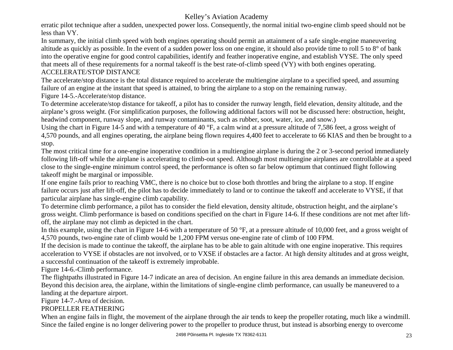erratic pilot technique after a sudden, unexpected power loss. Consequently, the normal initial two-engine climb speed should not be less than VY.

In summary, the initial climb speed with both engines operating should permit an attainment of a safe single-engine maneuvering altitude as quickly as possible. In the event of a sudden power loss on one engine, it should also provide time to roll 5 to 8° of bank into the operative engine for good control capabilities, identify and feather inoperative engine, and establish VYSE. The only speed that meets all of these requirements for a normal takeoff is the best rate-of-climb speed (VY) with both engines operating. ACCELERATE/STOP DISTANCE

The accelerate/stop distance is the total distance required to accelerate the multiengine airplane to a specified speed, and assuming failure of an engine at the instant that speed is attained, to bring the airplane to a stop on the remaining runway.

Figure 14-5.-Accelerate/stop distance.

To determine accelerate/stop distance for takeoff, a pilot has to consider the runway length, field elevation, density altitude, and the airplane's gross weight. (For simplification purposes, the following additional factors will not be discussed here: obstruction, height, headwind component, runway slope, and runway contaminants, such as rubber, soot, water, ice, and snow.)

Using the chart in Figure 14-5 and with a temperature of 40 °F, a calm wind at a pressure altitude of 7,586 feet, a gross weight of 4,570 pounds, and all engines operating, the airplane being flown requires 4,400 feet to accelerate to 66 KIAS and then be brought to a stop.

The most critical time for a one-engine inoperative condition in a multiengine airplane is during the 2 or 3-second period immediately following lift-off while the airplane is accelerating to climb-out speed. Although most multiengine airplanes are controllable at a speed close to the single-engine minimum control speed, the performance is often so far below optimum that continued flight following takeoff might be marginal or impossible.

If one engine fails prior to reaching VMC, there is no choice but to close both throttles and bring the airplane to a stop. If engine failure occurs just after lift-off, the pilot has to decide immediately to land or to continue the takeoff and accelerate to VYSE, if that particular airplane has single-engine climb capability.

To determine climb performance, a pilot has to consider the field elevation, density altitude, obstruction height, and the airplane's gross weight. Climb performance is based on conditions specified on the chart in Figure 14-6. If these conditions are not met after liftoff, the airplane may not climb as depicted in the chart.

In this example, using the chart in Figure 14-6 with a temperature of 50 °F, at a pressure altitude of 10,000 feet, and a gross weight of 4,570 pounds, two-engine rate of climb would be 1,200 FPM versus one-engine rate of climb of 100 FPM.

If the decision is made to continue the takeoff, the airplane has to be able to gain altitude with one engine inoperative. This requires acceleration to VYSE if obstacles are not involved, or to VXSE if obstacles are a factor. At high density altitudes and at gross weight, a successful continuation of the takeoff is extremely improbable.

Figure 14-6.-Climb performance.

The flightpaths illustrated in Figure 14-7 indicate an area of decision. An engine failure in this area demands an immediate decision. Beyond this decision area, the airplane, within the limitations of single-engine climb performance, can usually be maneuvered to a landing at the departure airport.

Figure 14-7.-Area of decision.

## PROPELLER FEATHERING

When an engine fails in flight, the movement of the airplane through the air tends to keep the propeller rotating, much like a windmill. Since the failed engine is no longer delivering power to the propeller to produce thrust, but instead is absorbing energy to overcome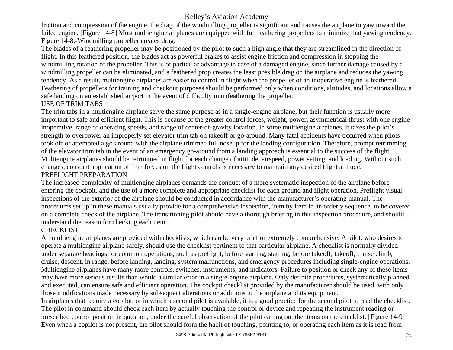friction and compression of the engine, the drag of the windmilling propeller is significant and causes the airplane to yaw toward the failed engine. [Figure 14-8] Most multiengine airplanes are equipped with full feathering propellers to minimize that yawing tendency. Figure 14-8.-Windmilling propeller creates drag.

The blades of a feathering propeller may be positioned by the pilot to such a high angle that they are streamlined in the direction of flight. In this feathered position, the blades act as powerful brakes to assist engine friction and compression in stopping the windmilling rotation of the propeller. This is of particular advantage in case of a damaged engine, since further damage caused by a windmilling propeller can be eliminated, and a feathered prop creates the least possible drag on the airplane and reduces the yawing tendency. As a result, multiengine airplanes are easier to control in flight when the propeller of an inoperative engine is feathered. Feathering of propellers for training and checkout purposes should be performed only when conditions, altitudes, and locations allow a safe landing on an established airport in the event of difficulty in unfeathering the propeller. USE OF TRIM TABS

The trim tabs in a multiengine airplane serve the same purpose as in a single-engine airplane, but their function is usually more important to safe and efficient flight. This is because of the greater control forces, weight, power, asymmetrical thrust with one engine inoperative, range of operating speeds, and range of center-of-gravity location. In some multiengine airplanes, it taxes the pilot's strength to overpower an improperly set elevator trim tab on takeoff or go-around. Many fatal accidents have occurred when pilots took off or attempted a go-around with the airplane trimmed full noseup for the landing configuration. Therefore, prompt retrimming of the elevator trim tab in the event of an emergency go-around from a landing approach is essential to the success of the flight. Multiengine airplanes should be retrimmed in flight for each change of attitude, airspeed, power setting, and loading. Without such changes, constant application of firm forces on the flight controls is necessary to maintain any desired flight attitude. PREFLIGHT PREPARATION

The increased complexity of multiengine airplanes demands the conduct of a more systematic inspection of the airplane before entering the cockpit, and the use of a more complete and appropriate checklist for each ground and flight operation. Preflight visual inspections of the exterior of the airplane should be conducted in accordance with the manufacturer's operating manual. The procedures set up in these manuals usually provide for a comprehensive inspection, item by item in an orderly sequence, to be covered on a complete check of the airplane. The transitioning pilot should have a thorough briefing in this inspection procedure, and should understand the reason for checking each item.

#### **CHECKLIST**

All multiengine airplanes are provided with checklists, which can be very brief or extremely comprehensive. A pilot, who desires to operate a multiengine airplane safely, should use the checklist pertinent to that particular airplane. A checklist is normally divided under separate headings for common operations, such as preflight, before starting, starting, before takeoff, takeoff, cruise climb, cruise, descent, in range, before landing, landing, system malfunctions, and emergency procedures including single-engine operations. Multiengine airplanes have many more controls, switches, instruments, and indicators. Failure to position or check any of these items may have more serious results than would a similar error in a single-engine airplane. Only definite procedures, systematically planned and executed, can ensure safe and efficient operation. The cockpit checklist provided by the manufacturer should be used, with only those modifications made necessary by subsequent alterations or additions to the airplane and its equipment.

In airplanes that require a copilot, or in which a second pilot is available, it is a good practice for the second pilot to read the checklist. The pilot in command should check each item by actually touching the control or device and repeating the instrument reading or prescribed control position in question, under the careful observation of the pilot calling out the items on the checklist. [Figure 14-9] Even when a copilot is not present, the pilot should form the habit of touching, pointing to, or operating each item as it is read from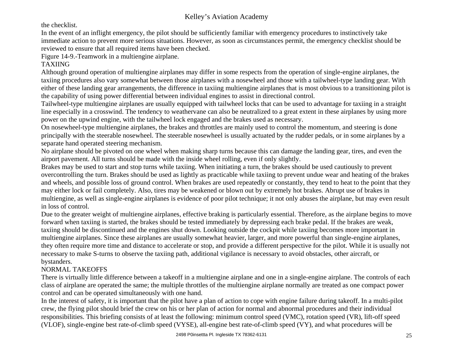the checklist.

In the event of an inflight emergency, the pilot should be sufficiently familiar with emergency procedures to instinctively take immediate action to prevent more serious situations. However, as soon as circumstances permit, the emergency checklist should be reviewed to ensure that all required items have been checked.

Figure 14-9.-Teamwork in a multiengine airplane.

# TAXIING

Although ground operation of multiengine airplanes may differ in some respects from the operation of single-engine airplanes, the taxiing procedures also vary somewhat between those airplanes with a nosewheel and those with a tailwheel-type landing gear. With either of these landing gear arrangements, the difference in taxiing multiengine airplanes that is most obvious to a transitioning pilot is the capability of using power differential between individual engines to assist in directional control.

Tailwheel-type multiengine airplanes are usually equipped with tailwheel locks that can be used to advantage for taxiing in a straight line especially in a crosswind. The tendency to weathervane can also be neutralized to a great extent in these airplanes by using more power on the upwind engine, with the tailwheel lock engaged and the brakes used as necessary.

On nosewheel-type multiengine airplanes, the brakes and throttles are mainly used to control the momentum, and steering is done principally with the steerable nosewheel. The steerable nosewheel is usually actuated by the rudder pedals, or in some airplanes by a separate hand operated steering mechanism.

No airplane should be pivoted on one wheel when making sharp turns because this can damage the landing gear, tires, and even the airport pavement. All turns should be made with the inside wheel rolling, even if only slightly.

Brakes may be used to start and stop turns while taxiing. When initiating a turn, the brakes should be used cautiously to prevent overcontrolling the turn. Brakes should be used as lightly as practicable while taxiing to prevent undue wear and heating of the brakes and wheels, and possible loss of ground control. When brakes are used repeatedly or constantly, they tend to heat to the point that they may either lock or fail completely. Also, tires may be weakened or blown out by extremely hot brakes. Abrupt use of brakes in multiengine, as well as single-engine airplanes is evidence of poor pilot technique; it not only abuses the airplane, but may even result in loss of control.

Due to the greater weight of multiengine airplanes, effective braking is particularly essential. Therefore, as the airplane begins to move forward when taxiing is started, the brakes should be tested immediately by depressing each brake pedal. If the brakes are weak, taxiing should be discontinued and the engines shut down. Looking outside the cockpit while taxiing becomes more important in multiengine airplanes. Since these airplanes are usually somewhat heavier, larger, and more powerful than single-engine airplanes, they often require more time and distance to accelerate or stop, and provide a different perspective for the pilot. While it is usually not necessary to make S-turns to observe the taxiing path, additional vigilance is necessary to avoid obstacles, other aircraft, or bystanders.

## NORMAL TAKEOFFS

There is virtually little difference between a takeoff in a multiengine airplane and one in a single-engine airplane. The controls of each class of airplane are operated the same; the multiple throttles of the multiengine airplane normally are treated as one compact power control and can be operated simultaneously with one hand.

In the interest of safety, it is important that the pilot have a plan of action to cope with engine failure during takeoff. In a multi-pilot crew, the flying pilot should brief the crew on his or her plan of action for normal and abnormal procedures and their individual responsibilities. This briefing consists of at least the following: minimum control speed (VMC), rotation speed (VR), lift-off speed (VLOF), single-engine best rate-of-climb speed (VYSE), all-engine best rate-of-climb speed (VY), and what procedures will be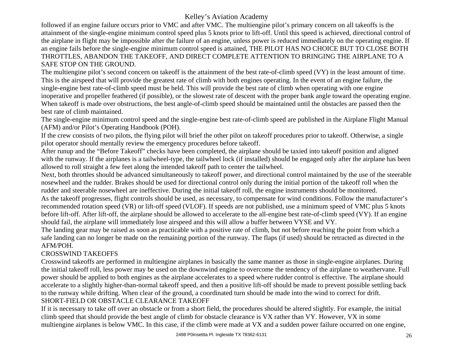followed if an engine failure occurs prior to VMC and after VMC. The multiengine pilot's primary concern on all takeoffs is the attainment of the single-engine minimum control speed plus 5 knots prior to lift-off. Until this speed is achieved, directional control of the airplane in flight may be impossible after the failure of an engine, unless power is reduced immediately on the operating engine. If an engine fails before the single-engine minimum control speed is attained, THE PILOT HAS NO CHOICE BUT TO CLOSE BOTH THROTTLES, ABANDON THE TAKEOFF, AND DIRECT COMPLETE ATTENTION TO BRINGING THE AIRPLANE TO A SAFE STOP ON THE GROUND.

The multiengine pilot's second concern on takeoff is the attainment of the best rate-of-climb speed (VY) in the least amount of time. This is the airspeed that will provide the greatest rate of climb with both engines operating. In the event of an engine failure, the single-engine best rate-of-climb speed must be held. This will provide the best rate of climb when operating with one engine inoperative and propeller feathered (if possible), or the slowest rate of descent with the proper bank angle toward the operating engine. When takeoff is made over obstructions, the best angle-of-climb speed should be maintained until the obstacles are passed then the best rate of climb maintained.

The single-engine minimum control speed and the single-engine best rate-of-climb speed are published in the Airplane Flight Manual (AFM) and/or Pilot's Operating Handbook (POH).

If the crew consists of two pilots, the flying pilot will brief the other pilot on takeoff procedures prior to takeoff. Otherwise, a single pilot operator should mentally review the emergency procedures before takeoff.

After runup and the "Before Takeoff" checks have been completed, the airplane should be taxied into takeoff position and aligned with the runway. If the airplanes is a tailwheel-type, the tailwheel lock (if installed) should be engaged only after the airplane has been allowed to roll straight a few feet along the intended takeoff path to center the tailwheel.

Next, both throttles should be advanced simultaneously to takeoff power, and directional control maintained by the use of the steerable nosewheel and the rudder. Brakes should be used for directional control only during the initial portion of the takeoff roll when the rudder and steerable nosewheel are ineffective. During the initial takeoff roll, the engine instruments should be monitored.

As the takeoff progresses, flight controls should be used, as necessary, to compensate for wind conditions. Follow the manufacturer's recommended rotation speed (VR) or lift-off speed (VLOF). If speeds are not published, use a minimum speed of VMC plus 5 knots before lift-off. After lift-off, the airplane should be allowed to accelerate to the all-engine best rate-of-climb speed (VY). If an engine should fail, the airplane will immediately lose airspeed and this will allow a buffer between VYSE and VY.

The landing gear may be raised as soon as practicable with a positive rate of climb, but not before reaching the point from which a safe landing can no longer be made on the remaining portion of the runway. The flaps (if used) should be retracted as directed in the AFM/POH.

## CROSSWIND TAKEOFFS

Crosswind takeoffs are performed in multiengine airplanes in basically the same manner as those in single-engine airplanes. During the initial takeoff roll, less power may be used on the downwind engine to overcome the tendency of the airplane to weathervane. Full power should be applied to both engines as the airplane accelerates to a speed where rudder control is effective. The airplane should accelerate to a slightly higher-than-normal takeoff speed, and then a positive lift-off should be made to prevent possible settling back to the runway while drifting. When clear of the ground, a coordinated turn should be made into the wind to correct for drift. SHORT-FIELD OR OBSTACLE CLEARANCE TAKEOFF

If it is necessary to take off over an obstacle or from a short field, the procedures should be altered slightly. For example, the initial climb speed that should provide the best angle of climb for obstacle clearance is VX rather than VY. However, VX in some multiengine airplanes is below VMC. In this case, if the climb were made at VX and a sudden power failure occurred on one engine,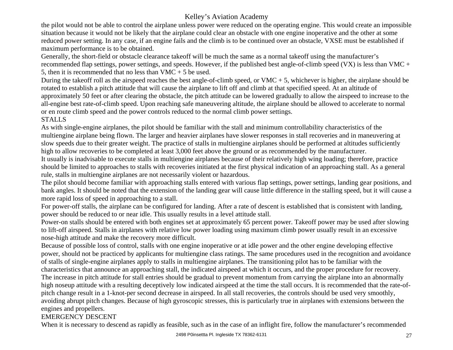the pilot would not be able to control the airplane unless power were reduced on the operating engine. This would create an impossible situation because it would not be likely that the airplane could clear an obstacle with one engine inoperative and the other at some reduced power setting. In any case, if an engine fails and the climb is to be continued over an obstacle, VXSE must be established if maximum performance is to be obtained.

Generally, the short-field or obstacle clearance takeoff will be much the same as a normal takeoff using the manufacturer's recommended flap settings, power settings, and speeds. However, if the published best angle-of-climb speed (VX) is less than VMC + 5, then it is recommended that no less than VMC + 5 be used.

During the takeoff roll as the airspeed reaches the best angle-of-climb speed, or  $VMC + 5$ , whichever is higher, the airplane should be rotated to establish a pitch attitude that will cause the airplane to lift off and climb at that specified speed. At an altitude of approximately 50 feet or after clearing the obstacle, the pitch attitude can be lowered gradually to allow the airspeed to increase to the all-engine best rate-of-climb speed. Upon reaching safe maneuvering altitude, the airplane should be allowed to accelerate to normal or en route climb speed and the power controls reduced to the normal climb power settings.

#### STALLS

As with single-engine airplanes, the pilot should be familiar with the stall and minimum controllability characteristics of the multiengine airplane being flown. The larger and heavier airplanes have slower responses in stall recoveries and in maneuvering at slow speeds due to their greater weight. The practice of stalls in multiengine airplanes should be performed at altitudes sufficiently high to allow recoveries to be completed at least 3,000 feet above the ground or as recommended by the manufacturer.

It usually is inadvisable to execute stalls in multiengine airplanes because of their relatively high wing loading; therefore, practice should be limited to approaches to stalls with recoveries initiated at the first physical indication of an approaching stall. As a general rule, stalls in multiengine airplanes are not necessarily violent or hazardous.

The pilot should become familiar with approaching stalls entered with various flap settings, power settings, landing gear positions, and bank angles. It should be noted that the extension of the landing gear will cause little difference in the stalling speed, but it will cause a more rapid loss of speed in approaching to a stall.

For power-off stalls, the airplane can be configured for landing. After a rate of descent is established that is consistent with landing, power should be reduced to or near idle. This usually results in a level attitude stall.

Power-on stalls should be entered with both engines set at approximately 65 percent power. Takeoff power may be used after slowing to lift-off airspeed. Stalls in airplanes with relative low power loading using maximum climb power usually result in an excessive nose-high attitude and make the recovery more difficult.

Because of possible loss of control, stalls with one engine inoperative or at idle power and the other engine developing effective power, should not be practiced by applicants for multiengine class ratings. The same procedures used in the recognition and avoidance of stalls of single-engine airplanes apply to stalls in multiengine airplanes. The transitioning pilot has to be familiar with the characteristics that announce an approaching stall, the indicated airspeed at which it occurs, and the proper procedure for recovery. The increase in pitch attitude for stall entries should be gradual to prevent momentum from carrying the airplane into an abnormally high noseup attitude with a resulting deceptively low indicated airspeed at the time the stall occurs. It is recommended that the rate-ofpitch change result in a 1-knot-per second decrease in airspeed. In all stall recoveries, the controls should be used very smoothly, avoiding abrupt pitch changes. Because of high gyroscopic stresses, this is particularly true in airplanes with extensions between the engines and propellers.

## EMERGENCY DESCENT

When it is necessary to descend as rapidly as feasible, such as in the case of an inflight fire, follow the manufacturer's recommended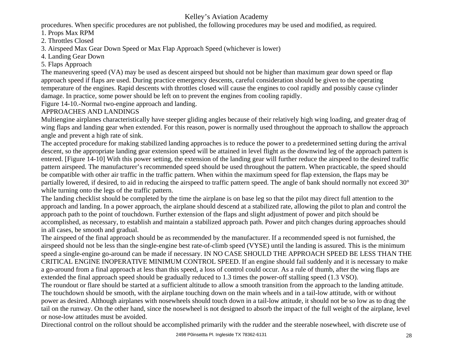procedures. When specific procedures are not published, the following procedures may be used and modified, as required.

- 1. Props Max RPM
- 2. Throttles Closed
- 3. Airspeed Max Gear Down Speed or Max Flap Approach Speed (whichever is lower)
- 4. Landing Gear Down
- 5. Flaps Approach

The maneuvering speed (VA) may be used as descent airspeed but should not be higher than maximum gear down speed or flap approach speed if flaps are used. During practice emergency descents, careful consideration should be given to the operating temperature of the engines. Rapid descents with throttles closed will cause the engines to cool rapidly and possibly cause cylinder damage. In practice, some power should be left on to prevent the engines from cooling rapidly.

Figure 14-10.-Normal two-engine approach and landing.

# APPROACHES AND LANDINGS

Multiengine airplanes characteristically have steeper gliding angles because of their relatively high wing loading, and greater drag of wing flaps and landing gear when extended. For this reason, power is normally used throughout the approach to shallow the approach angle and prevent a high rate of sink.

The accepted procedure for making stabilized landing approaches is to reduce the power to a predetermined setting during the arrival descent, so the appropriate landing gear extension speed will be attained in level flight as the downwind leg of the approach pattern is entered. [Figure 14-10] With this power setting, the extension of the landing gear will further reduce the airspeed to the desired traffic pattern airspeed. The manufacturer's recommended speed should be used throughout the pattern. When practicable, the speed should be compatible with other air traffic in the traffic pattern. When within the maximum speed for flap extension, the flaps may be partially lowered, if desired, to aid in reducing the airspeed to traffic pattern speed. The angle of bank should normally not exceed 30° while turning onto the legs of the traffic pattern.

The landing checklist should be completed by the time the airplane is on base leg so that the pilot may direct full attention to the approach and landing. In a power approach, the airplane should descend at a stabilized rate, allowing the pilot to plan and control the approach path to the point of touchdown. Further extension of the flaps and slight adjustment of power and pitch should be accomplished, as necessary, to establish and maintain a stabilized approach path. Power and pitch changes during approaches should in all cases, be smooth and gradual.

The airspeed of the final approach should be as recommended by the manufacturer. If a recommended speed is not furnished, the airspeed should not be less than the single-engine best rate-of-climb speed (VYSE) until the landing is assured. This is the minimum speed a single-engine go-around can be made if necessary. IN NO CASE SHOULD THE APPROACH SPEED BE LESS THAN THE CRITICAL ENGINE INOPERATIVE MINIMUM CONTROL SPEED. If an engine should fail suddenly and it is necessary to make a go-around from a final approach at less than this speed, a loss of control could occur. As a rule of thumb, after the wing flaps are extended the final approach speed should be gradually reduced to 1.3 times the power-off stalling speed (1.3 VSO).

The roundout or flare should be started at a sufficient altitude to allow a smooth transition from the approach to the landing attitude. The touchdown should be smooth, with the airplane touching down on the main wheels and in a tail-low attitude, with or without power as desired. Although airplanes with nosewheels should touch down in a tail-low attitude, it should not be so low as to drag the tail on the runway. On the other hand, since the nosewheel is not designed to absorb the impact of the full weight of the airplane, level or nose-low attitudes must be avoided.

Directional control on the rollout should be accomplished primarily with the rudder and the steerable nosewheel, with discrete use of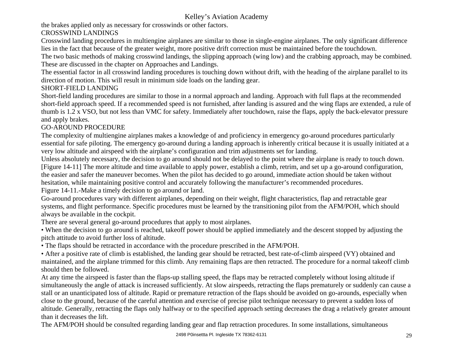the brakes applied only as necessary for crosswinds or other factors.

# CROSSWIND LANDINGS

Crosswind landing procedures in multiengine airplanes are similar to those in single-engine airplanes. The only significant difference lies in the fact that because of the greater weight, more positive drift correction must be maintained before the touchdown.

The two basic methods of making crosswind landings, the slipping approach (wing low) and the crabbing approach, may be combined. These are discussed in the chapter on Approaches and Landings.

The essential factor in all crosswind landing procedures is touching down without drift, with the heading of the airplane parallel to its direction of motion. This will result in minimum side loads on the landing gear.

# SHORT-FIELD LANDING

Short-field landing procedures are similar to those in a normal approach and landing. Approach with full flaps at the recommended short-field approach speed. If a recommended speed is not furnished, after landing is assured and the wing flaps are extended, a rule of thumb is 1.2 x VSO, but not less than VMC for safety. Immediately after touchdown, raise the flaps, apply the back-elevator pressure and apply brakes.

# GO-AROUND PROCEDURE

The complexity of multiengine airplanes makes a knowledge of and proficiency in emergency go-around procedures particularly essential for safe piloting. The emergency go-around during a landing approach is inherently critical because it is usually initiated at a very low altitude and airspeed with the airplane's configuration and trim adjustments set for landing.

Unless absolutely necessary, the decision to go around should not be delayed to the point where the airplane is ready to touch down. [Figure 14-11] The more altitude and time available to apply power, establish a climb, retrim, and set up a go-around configuration, the easier and safer the maneuver becomes. When the pilot has decided to go around, immediate action should be taken without hesitation, while maintaining positive control and accurately following the manufacturer's recommended procedures.

Figure 14-11.-Make a timely decision to go around or land.

Go-around procedures vary with different airplanes, depending on their weight, flight characteristics, flap and retractable gear systems, and flight performance. Specific procedures must be learned by the transitioning pilot from the AFM/POH, which should always be available in the cockpit.

There are several general go-around procedures that apply to most airplanes.

• When the decision to go around is reached, takeoff power should be applied immediately and the descent stopped by adjusting the pitch attitude to avoid further loss of altitude.

• The flaps should be retracted in accordance with the procedure prescribed in the AFM/POH.

• After a positive rate of climb is established, the landing gear should be retracted, best rate-of-climb airspeed (VY) obtained and maintained, and the airplane trimmed for this climb. Any remaining flaps are then retracted. The procedure for a normal takeoff climb should then be followed.

At any time the airspeed is faster than the flaps-up stalling speed, the flaps may be retracted completely without losing altitude if simultaneously the angle of attack is increased sufficiently. At slow airspeeds, retracting the flaps prematurely or suddenly can cause a stall or an unanticipated loss of altitude. Rapid or premature retraction of the flaps should be avoided on go-arounds, especially when close to the ground, because of the careful attention and exercise of precise pilot technique necessary to prevent a sudden loss of altitude. Generally, retracting the flaps only halfway or to the specified approach setting decreases the drag a relatively greater amount than it decreases the lift.

The AFM/POH should be consulted regarding landing gear and flap retraction procedures. In some installations, simultaneous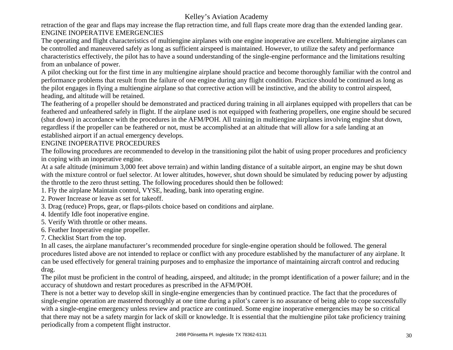retraction of the gear and flaps may increase the flap retraction time, and full flaps create more drag than the extended landing gear. ENGINE INOPERATIVE EMERGENCIES

The operating and flight characteristics of multiengine airplanes with one engine inoperative are excellent. Multiengine airplanes can be controlled and maneuvered safely as long as sufficient airspeed is maintained. However, to utilize the safety and performance characteristics effectively, the pilot has to have a sound understanding of the single-engine performance and the limitations resulting from an unbalance of power.

A pilot checking out for the first time in any multiengine airplane should practice and become thoroughly familiar with the control and performance problems that result from the failure of one engine during any flight condition. Practice should be continued as long as the pilot engages in flying a multiengine airplane so that corrective action will be instinctive, and the ability to control airspeed, heading, and altitude will be retained.

The feathering of a propeller should be demonstrated and practiced during training in all airplanes equipped with propellers that can be feathered and unfeathered safely in flight. If the airplane used is not equipped with feathering propellers, one engine should be secured (shut down) in accordance with the procedures in the AFM/POH. All training in multiengine airplanes involving engine shut down, regardless if the propeller can be feathered or not, must be accomplished at an altitude that will allow for a safe landing at an established airport if an actual emergency develops.

### ENGINE INOPERATIVE PROCEDURES

The following procedures are recommended to develop in the transitioning pilot the habit of using proper procedures and proficiency in coping with an inoperative engine.

At a safe altitude (minimum 3,000 feet above terrain) and within landing distance of a suitable airport, an engine may be shut down with the mixture control or fuel selector. At lower altitudes, however, shut down should be simulated by reducing power by adjusting the throttle to the zero thrust setting. The following procedures should then be followed:

- 1. Fly the airplane Maintain control, VYSE, heading, bank into operating engine.
- 2. Power Increase or leave as set for takeoff.
- 3. Drag (reduce) Props, gear, or flaps-pilots choice based on conditions and airplane.
- 4. Identify Idle foot inoperative engine.
- 5. Verify With throttle or other means.
- 6. Feather Inoperative engine propeller.
- 7. Checklist Start from the top.

In all cases, the airplane manufacturer's recommended procedure for single-engine operation should be followed. The general procedures listed above are not intended to replace or conflict with any procedure established by the manufacturer of any airplane. It can be used effectively for general training purposes and to emphasize the importance of maintaining aircraft control and reducing drag.

The pilot must be proficient in the control of heading, airspeed, and altitude; in the prompt identification of a power failure; and in the accuracy of shutdown and restart procedures as prescribed in the AFM/POH.

There is not a better way to develop skill in single-engine emergencies than by continued practice. The fact that the procedures of single-engine operation are mastered thoroughly at one time during a pilot's career is no assurance of being able to cope successfully with a single-engine emergency unless review and practice are continued. Some engine inoperative emergencies may be so critical that there may not be a safety margin for lack of skill or knowledge. It is essential that the multiengine pilot take proficiency training periodically from a competent flight instructor.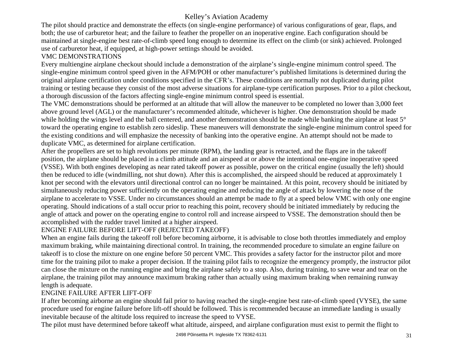The pilot should practice and demonstrate the effects (on single-engine performance) of various configurations of gear, flaps, and both; the use of carburetor heat; and the failure to feather the propeller on an inoperative engine. Each configuration should be maintained at single-engine best rate-of-climb speed long enough to determine its effect on the climb (or sink) achieved. Prolonged use of carburetor heat, if equipped, at high-power settings should be avoided.

#### VMC DEMONSTRATIONS

Every multiengine airplane checkout should include a demonstration of the airplane's single-engine minimum control speed. The single-engine minimum control speed given in the AFM/POH or other manufacturer's published limitations is determined during the original airplane certification under conditions specified in the CFR's. These conditions are normally not duplicated during pilot training or testing because they consist of the most adverse situations for airplane-type certification purposes. Prior to a pilot checkout, a thorough discussion of the factors affecting single-engine minimum control speed is essential.

The VMC demonstrations should be performed at an altitude that will allow the maneuver to be completed no lower than 3,000 feet above ground level (AGL) or the manufacturer's recommended altitude, whichever is higher. One demonstration should be made while holding the wings level and the ball centered, and another demonstration should be made while banking the airplane at least  $5^{\circ}$ toward the operating engine to establish zero sideslip. These maneuvers will demonstrate the single-engine minimum control speed for the existing conditions and will emphasize the necessity of banking into the operative engine. An attempt should not be made to duplicate VMC, as determined for airplane certification.

After the propellers are set to high revolutions per minute (RPM), the landing gear is retracted, and the flaps are in the takeoff position, the airplane should be placed in a climb attitude and an airspeed at or above the intentional one-engine inoperative speed (VSSE). With both engines developing as near rated takeoff power as possible, power on the critical engine (usually the left) should then be reduced to idle (windmilling, not shut down). After this is accomplished, the airspeed should be reduced at approximately 1 knot per second with the elevators until directional control can no longer be maintained. At this point, recovery should be initiated by simultaneously reducing power sufficiently on the operating engine and reducing the angle of attack by lowering the nose of the airplane to accelerate to VSSE. Under no circumstances should an attempt be made to fly at a speed below VMC with only one engine operating. Should indications of a stall occur prior to reaching this point, recovery should be initiated immediately by reducing the angle of attack and power on the operating engine to control roll and increase airspeed to VSSE. The demonstration should then be accomplished with the rudder travel limited at a higher airspeed.

## ENGINE FAILURE BEFORE LIFT-OFF (REJECTED TAKEOFF)

When an engine fails during the takeoff roll before becoming airborne, it is advisable to close both throttles immediately and employ maximum braking, while maintaining directional control. In training, the recommended procedure to simulate an engine failure on takeoff is to close the mixture on one engine before 50 percent VMC. This provides a safety factor for the instructor pilot and more time for the training pilot to make a proper decision. If the training pilot fails to recognize the emergency promptly, the instructor pilot can close the mixture on the running engine and bring the airplane safely to a stop. Also, during training, to save wear and tear on the airplane, the training pilot may announce maximum braking rather than actually using maximum braking when remaining runway length is adequate.

#### ENGINE FAILURE AFTER LIFT-OFF

If after becoming airborne an engine should fail prior to having reached the single-engine best rate-of-climb speed (VYSE), the same procedure used for engine failure before lift-off should be followed. This is recommended because an immediate landing is usually inevitable because of the altitude loss required to increase the speed to VYSE.

The pilot must have determined before takeoff what altitude, airspeed, and airplane configuration must exist to permit the flight to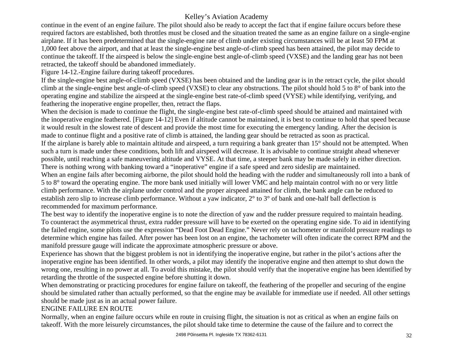continue in the event of an engine failure. The pilot should also be ready to accept the fact that if engine failure occurs before these required factors are established, both throttles must be closed and the situation treated the same as an engine failure on a single-engine airplane. If it has been predetermined that the single-engine rate of climb under existing circumstances will be at least 50 FPM at 1,000 feet above the airport, and that at least the single-engine best angle-of-climb speed has been attained, the pilot may decide to continue the takeoff. If the airspeed is below the single-engine best angle-of-climb speed (VXSE) and the landing gear has not been retracted, the takeoff should be abandoned immediately.

Figure 14-12.-Engine failure during takeoff procedures.

If the single-engine best angle-of-climb speed (VXSE) has been obtained and the landing gear is in the retract cycle, the pilot should climb at the single-engine best angle-of-climb speed (VXSE) to clear any obstructions. The pilot should hold 5 to 8° of bank into the operating engine and stabilize the airspeed at the single-engine best rate-of-climb speed (VYSE) while identifying, verifying, and feathering the inoperative engine propeller, then, retract the flaps.

When the decision is made to continue the flight, the single-engine best rate-of-climb speed should be attained and maintained with the inoperative engine feathered. [Figure 14-12] Even if altitude cannot be maintained, it is best to continue to hold that speed because it would result in the slowest rate of descent and provide the most time for executing the emergency landing. After the decision is made to continue flight and a positive rate of climb is attained, the landing gear should be retracted as soon as practical. If the airplane is barely able to maintain altitude and airspeed, a turn requiring a bank greater than 15° should not be attempted. When such a turn is made under these conditions, both lift and airspeed will decrease. It is advisable to continue straight ahead whenever possible, until reaching a safe maneuvering altitude and VYSE. At that time, a steeper bank may be made safely in either direction. There is nothing wrong with banking toward a "inoperative" engine if a safe speed and zero sideslip are maintained.

When an engine fails after becoming airborne, the pilot should hold the heading with the rudder and simultaneously roll into a bank of 5 to 8° toward the operating engine. The more bank used initially will lower VMC and help maintain control with no or very little climb performance. With the airplane under control and the proper airspeed attained for climb, the bank angle can be reduced to establish zero slip to increase climb performance. Without a yaw indicator, 2° to 3° of bank and one-half ball deflection is recommended for maximum performance.

The best way to identify the inoperative engine is to note the direction of yaw and the rudder pressure required to maintain heading. To counteract the asymmetrical thrust, extra rudder pressure will have to be exerted on the operating engine side. To aid in identifying the failed engine, some pilots use the expression "Dead Foot Dead Engine." Never rely on tachometer or manifold pressure readings to determine which engine has failed. After power has been lost on an engine, the tachometer will often indicate the correct RPM and the manifold pressure gauge will indicate the approximate atmospheric pressure or above.

Experience has shown that the biggest problem is not in identifying the inoperative engine, but rather in the pilot's actions after the inoperative engine has been identified. In other words, a pilot may identify the inoperative engine and then attempt to shut down the wrong one, resulting in no power at all. To avoid this mistake, the pilot should verify that the inoperative engine has been identified by retarding the throttle of the suspected engine before shutting it down.

When demonstrating or practicing procedures for engine failure on takeoff, the feathering of the propeller and securing of the engine should be simulated rather than actually performed, so that the engine may be available for immediate use if needed. All other settings should be made just as in an actual power failure.

#### ENGINE FAILURE EN ROUTE

Normally, when an engine failure occurs while en route in cruising flight, the situation is not as critical as when an engine fails on takeoff. With the more leisurely circumstances, the pilot should take time to determine the cause of the failure and to correct the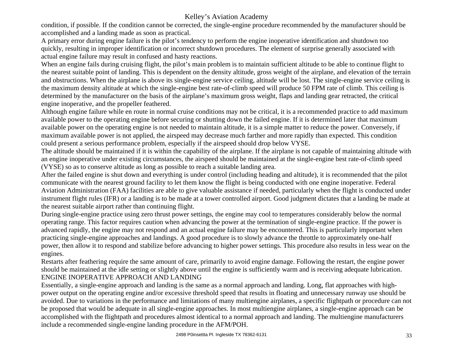condition, if possible. If the condition cannot be corrected, the single-engine procedure recommended by the manufacturer should be accomplished and a landing made as soon as practical.

A primary error during engine failure is the pilot's tendency to perform the engine inoperative identification and shutdown too quickly, resulting in improper identification or incorrect shutdown procedures. The element of surprise generally associated with actual engine failure may result in confused and hasty reactions.

When an engine fails during cruising flight, the pilot's main problem is to maintain sufficient altitude to be able to continue flight to the nearest suitable point of landing. This is dependent on the density altitude, gross weight of the airplane, and elevation of the terrain and obstructions. When the airplane is above its single-engine service ceiling, altitude will be lost. The single-engine service ceiling is the maximum density altitude at which the single-engine best rate-of-climb speed will produce 50 FPM rate of climb. This ceiling is determined by the manufacturer on the basis of the airplane's maximum gross weight, flaps and landing gear retracted, the critical engine inoperative, and the propeller feathered.

Although engine failure while en route in normal cruise conditions may not be critical, it is a recommended practice to add maximum available power to the operating engine before securing or shutting down the failed engine. If it is determined later that maximum available power on the operating engine is not needed to maintain altitude, it is a simple matter to reduce the power. Conversely, if maximum available power is not applied, the airspeed may decrease much farther and more rapidly than expected. This condition could present a serious performance problem, especially if the airspeed should drop below VYSE.

The altitude should be maintained if it is within the capability of the airplane. If the airplane is not capable of maintaining altitude with an engine inoperative under existing circumstances, the airspeed should be maintained at the single-engine best rate-of-climb speed (VYSE) so as to conserve altitude as long as possible to reach a suitable landing area.

After the failed engine is shut down and everything is under control (including heading and altitude), it is recommended that the pilot communicate with the nearest ground facility to let them know the flight is being conducted with one engine inoperative. Federal Aviation Administration (FAA) facilities are able to give valuable assistance if needed, particularly when the flight is conducted under instrument flight rules (IFR) or a landing is to be made at a tower controlled airport. Good judgment dictates that a landing be made at the nearest suitable airport rather than continuing flight.

During single-engine practice using zero thrust power settings, the engine may cool to temperatures considerably below the normal operating range. This factor requires caution when advancing the power at the termination of single-engine practice. If the power is advanced rapidly, the engine may not respond and an actual engine failure may be encountered. This is particularly important when practicing single-engine approaches and landings. A good procedure is to slowly advance the throttle to approximately one-half power, then allow it to respond and stabilize before advancing to higher power settings. This procedure also results in less wear on the engines.

Restarts after feathering require the same amount of care, primarily to avoid engine damage. Following the restart, the engine power should be maintained at the idle setting or slightly above until the engine is sufficiently warm and is receiving adequate lubrication. ENGINE INOPERATIVE APPROACH AND LANDING

Essentially, a single-engine approach and landing is the same as a normal approach and landing. Long, flat approaches with highpower output on the operating engine and/or excessive threshold speed that results in floating and unnecessary runway use should be avoided. Due to variations in the performance and limitations of many multiengine airplanes, a specific flightpath or procedure can not be proposed that would be adequate in all single-engine approaches. In most multiengine airplanes, a single-engine approach can be accomplished with the flightpath and procedures almost identical to a normal approach and landing. The multiengine manufacturers include a recommended single-engine landing procedure in the AFM/POH.